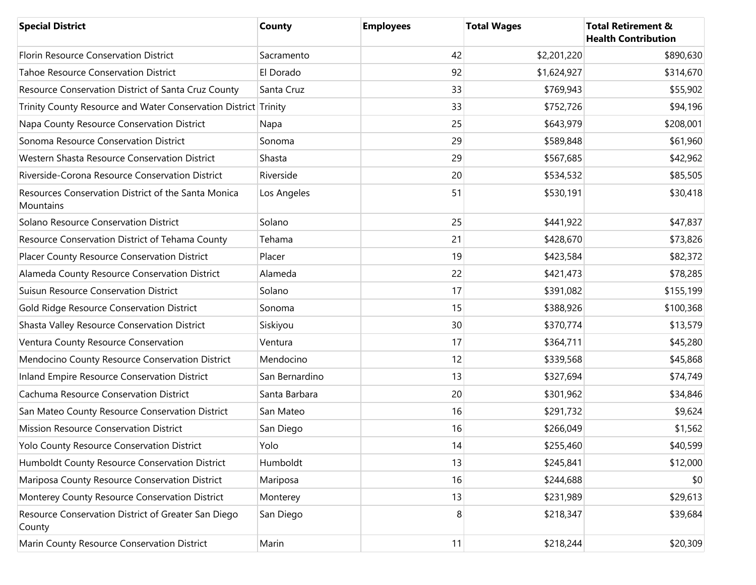| <b>Special District</b>                                          | <b>County</b>  | <b>Employees</b> | <b>Total Wages</b> | <b>Total Retirement &amp;</b><br><b>Health Contribution</b> |
|------------------------------------------------------------------|----------------|------------------|--------------------|-------------------------------------------------------------|
| Florin Resource Conservation District                            | Sacramento     | 42               | \$2,201,220        | \$890,630                                                   |
| <b>Tahoe Resource Conservation District</b>                      | El Dorado      | 92               | \$1,624,927        | \$314,670                                                   |
| Resource Conservation District of Santa Cruz County              | Santa Cruz     | 33               | \$769,943          | \$55,902                                                    |
| Trinity County Resource and Water Conservation District Trinity  |                | 33               | \$752,726          | \$94,196                                                    |
| Napa County Resource Conservation District                       | Napa           | 25               | \$643,979          | \$208,001                                                   |
| Sonoma Resource Conservation District                            | Sonoma         | 29               | \$589,848          | \$61,960                                                    |
| Western Shasta Resource Conservation District                    | Shasta         | 29               | \$567,685          | \$42,962                                                    |
| Riverside-Corona Resource Conservation District                  | Riverside      | 20               | \$534,532          | \$85,505                                                    |
| Resources Conservation District of the Santa Monica<br>Mountains | Los Angeles    | 51               | \$530,191          | \$30,418                                                    |
| Solano Resource Conservation District                            | Solano         | 25               | \$441,922          | \$47,837                                                    |
| Resource Conservation District of Tehama County                  | Tehama         | 21               | \$428,670          | \$73,826                                                    |
| Placer County Resource Conservation District                     | Placer         | 19               | \$423,584          | \$82,372                                                    |
| Alameda County Resource Conservation District                    | Alameda        | 22               | \$421,473          | \$78,285                                                    |
| Suisun Resource Conservation District                            | Solano         | 17               | \$391,082          | \$155,199                                                   |
| Gold Ridge Resource Conservation District                        | Sonoma         | 15               | \$388,926          | \$100,368                                                   |
| Shasta Valley Resource Conservation District                     | Siskiyou       | 30               | \$370,774          | \$13,579                                                    |
| Ventura County Resource Conservation                             | Ventura        | 17               | \$364,711          | \$45,280                                                    |
| Mendocino County Resource Conservation District                  | Mendocino      | 12               | \$339,568          | \$45,868                                                    |
| Inland Empire Resource Conservation District                     | San Bernardino | 13               | \$327,694          | \$74,749                                                    |
| Cachuma Resource Conservation District                           | Santa Barbara  | 20               | \$301,962          | \$34,846                                                    |
| San Mateo County Resource Conservation District                  | San Mateo      | 16               | \$291,732          | \$9,624                                                     |
| Mission Resource Conservation District                           | San Diego      | 16               | \$266,049          | \$1,562                                                     |
| Yolo County Resource Conservation District                       | Yolo           | 14               | \$255,460          | \$40,599                                                    |
| Humboldt County Resource Conservation District                   | Humboldt       | 13               | \$245,841          | \$12,000                                                    |
| Mariposa County Resource Conservation District                   | Mariposa       | 16               | \$244,688          | \$0                                                         |
| Monterey County Resource Conservation District                   | Monterey       | 13               | \$231,989          | \$29,613                                                    |
| Resource Conservation District of Greater San Diego<br>County    | San Diego      | 8                | \$218,347          | \$39,684                                                    |
| Marin County Resource Conservation District                      | Marin          | 11               | \$218,244          | \$20,309                                                    |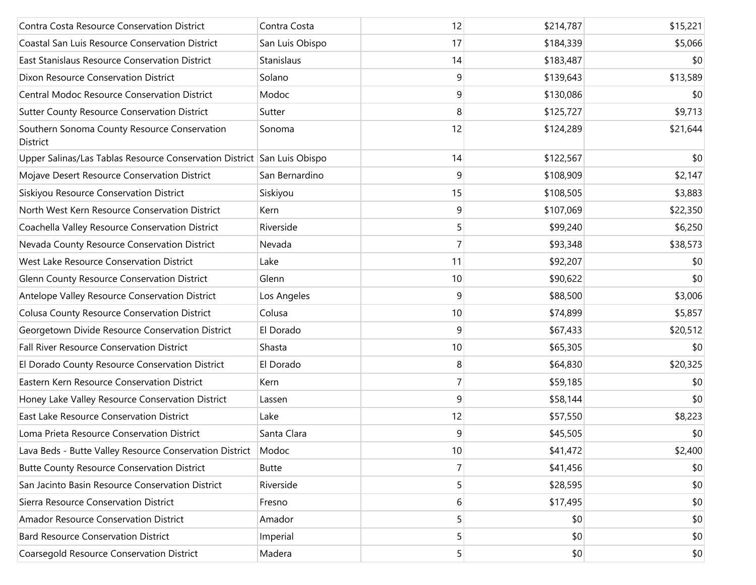| Contra Costa Resource Conservation District                             | Contra Costa    | 12             | \$214,787 | \$15,221 |
|-------------------------------------------------------------------------|-----------------|----------------|-----------|----------|
| Coastal San Luis Resource Conservation District                         | San Luis Obispo | 17             | \$184,339 | \$5,066  |
| East Stanislaus Resource Conservation District                          | Stanislaus      | 14             | \$183,487 | \$0      |
| Dixon Resource Conservation District                                    | Solano          | 9              | \$139,643 | \$13,589 |
| <b>Central Modoc Resource Conservation District</b>                     | Modoc           | 9              | \$130,086 | \$0      |
| Sutter County Resource Conservation District                            | Sutter          | 8              | \$125,727 | \$9,713  |
| Southern Sonoma County Resource Conservation<br>District                | Sonoma          | 12             | \$124,289 | \$21,644 |
| Upper Salinas/Las Tablas Resource Conservation District San Luis Obispo |                 | 14             | \$122,567 | \$0      |
| Mojave Desert Resource Conservation District                            | San Bernardino  | 9              | \$108,909 | \$2,147  |
| Siskiyou Resource Conservation District                                 | Siskiyou        | 15             | \$108,505 | \$3,883  |
| North West Kern Resource Conservation District                          | Kern            | 9              | \$107,069 | \$22,350 |
| Coachella Valley Resource Conservation District                         | Riverside       | 5              | \$99,240  | \$6,250  |
| Nevada County Resource Conservation District                            | Nevada          | 7              | \$93,348  | \$38,573 |
| West Lake Resource Conservation District                                | Lake            | 11             | \$92,207  | \$0      |
| Glenn County Resource Conservation District                             | Glenn           | 10             | \$90,622  | \$0      |
| Antelope Valley Resource Conservation District                          | Los Angeles     | 9              | \$88,500  | \$3,006  |
| Colusa County Resource Conservation District                            | Colusa          | 10             | \$74,899  | \$5,857  |
| Georgetown Divide Resource Conservation District                        | El Dorado       | 9              | \$67,433  | \$20,512 |
| Fall River Resource Conservation District                               | Shasta          | 10             | \$65,305  | \$0      |
| El Dorado County Resource Conservation District                         | El Dorado       | 8              | \$64,830  | \$20,325 |
| Eastern Kern Resource Conservation District                             | Kern            | $\overline{7}$ | \$59,185  | \$0      |
| Honey Lake Valley Resource Conservation District                        | Lassen          | 9              | \$58,144  | \$0      |
| East Lake Resource Conservation District                                | Lake            | 12             | \$57,550  | \$8,223  |
| Loma Prieta Resource Conservation District                              | Santa Clara     | 9              | \$45,505  | \$0      |
| Lava Beds - Butte Valley Resource Conservation District                 | Modoc           | $10$           | \$41,472  | \$2,400  |
| <b>Butte County Resource Conservation District</b>                      | <b>Butte</b>    | 7              | \$41,456  | \$0      |
| San Jacinto Basin Resource Conservation District                        | Riverside       | 5              | \$28,595  | \$0      |
| Sierra Resource Conservation District                                   | Fresno          | 6              | \$17,495  | \$0      |
| <b>Amador Resource Conservation District</b>                            | Amador          | 5              | \$0       | \$0      |
| <b>Bard Resource Conservation District</b>                              | Imperial        | 5              | \$0       | \$0      |
| Coarsegold Resource Conservation District                               | Madera          | 5 <sup>1</sup> | \$0       | \$0      |